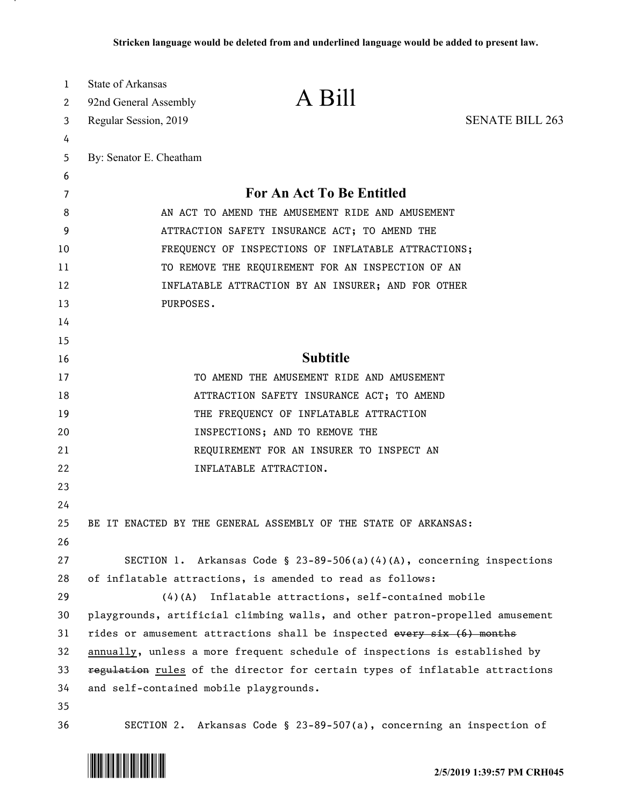| $\mathbf{1}$                     | State of Arkansas<br>92nd General Assembly                                   | A Bill                                                                |                        |
|----------------------------------|------------------------------------------------------------------------------|-----------------------------------------------------------------------|------------------------|
| 2                                | Regular Session, 2019                                                        |                                                                       | <b>SENATE BILL 263</b> |
| 3<br>4                           |                                                                              |                                                                       |                        |
| 5                                | By: Senator E. Cheatham                                                      |                                                                       |                        |
| 6                                |                                                                              |                                                                       |                        |
| 7                                |                                                                              | For An Act To Be Entitled                                             |                        |
| 8                                | AN ACT TO AMEND THE AMUSEMENT RIDE AND AMUSEMENT                             |                                                                       |                        |
| 9                                | ATTRACTION SAFETY INSURANCE ACT; TO AMEND THE                                |                                                                       |                        |
| 10                               | FREQUENCY OF INSPECTIONS OF INFLATABLE ATTRACTIONS;                          |                                                                       |                        |
| 11                               | TO REMOVE THE REQUIREMENT FOR AN INSPECTION OF AN                            |                                                                       |                        |
| 12                               | INFLATABLE ATTRACTION BY AN INSURER; AND FOR OTHER                           |                                                                       |                        |
| 13                               | PURPOSES.                                                                    |                                                                       |                        |
| 14                               |                                                                              |                                                                       |                        |
| 15                               |                                                                              |                                                                       |                        |
| 16                               | <b>Subtitle</b>                                                              |                                                                       |                        |
| 17                               |                                                                              | TO AMEND THE AMUSEMENT RIDE AND AMUSEMENT                             |                        |
| 18                               | ATTRACTION SAFETY INSURANCE ACT; TO AMEND                                    |                                                                       |                        |
| 19                               |                                                                              | THE FREQUENCY OF INFLATABLE ATTRACTION                                |                        |
| 20                               |                                                                              | INSPECTIONS; AND TO REMOVE THE                                        |                        |
| 21                               |                                                                              | REQUIREMENT FOR AN INSURER TO INSPECT AN                              |                        |
| 22                               |                                                                              | INFLATABLE ATTRACTION.                                                |                        |
| 23                               |                                                                              |                                                                       |                        |
| 24                               |                                                                              |                                                                       |                        |
| 25                               |                                                                              | BE IT ENACTED BY THE GENERAL ASSEMBLY OF THE STATE OF ARKANSAS:       |                        |
| 26                               |                                                                              |                                                                       |                        |
| 27                               |                                                                              | SECTION 1. Arkansas Code § 23-89-506(a)(4)(A), concerning inspections |                        |
| 28                               | of inflatable attractions, is amended to read as follows:                    |                                                                       |                        |
| 29                               |                                                                              | (4)(A) Inflatable attractions, self-contained mobile                  |                        |
| 30                               | playgrounds, artificial climbing walls, and other patron-propelled amusement |                                                                       |                        |
|                                  | rides or amusement attractions shall be inspected every six (6) months       |                                                                       |                        |
|                                  | annually, unless a more frequent schedule of inspections is established by   |                                                                       |                        |
|                                  | regulation rules of the director for certain types of inflatable attractions |                                                                       |                        |
|                                  |                                                                              |                                                                       |                        |
|                                  |                                                                              |                                                                       |                        |
| 31<br>32<br>33<br>34<br>35<br>36 | and self-contained mobile playgrounds.                                       | SECTION 2. Arkansas Code § 23-89-507(a), concerning an inspection of  |                        |